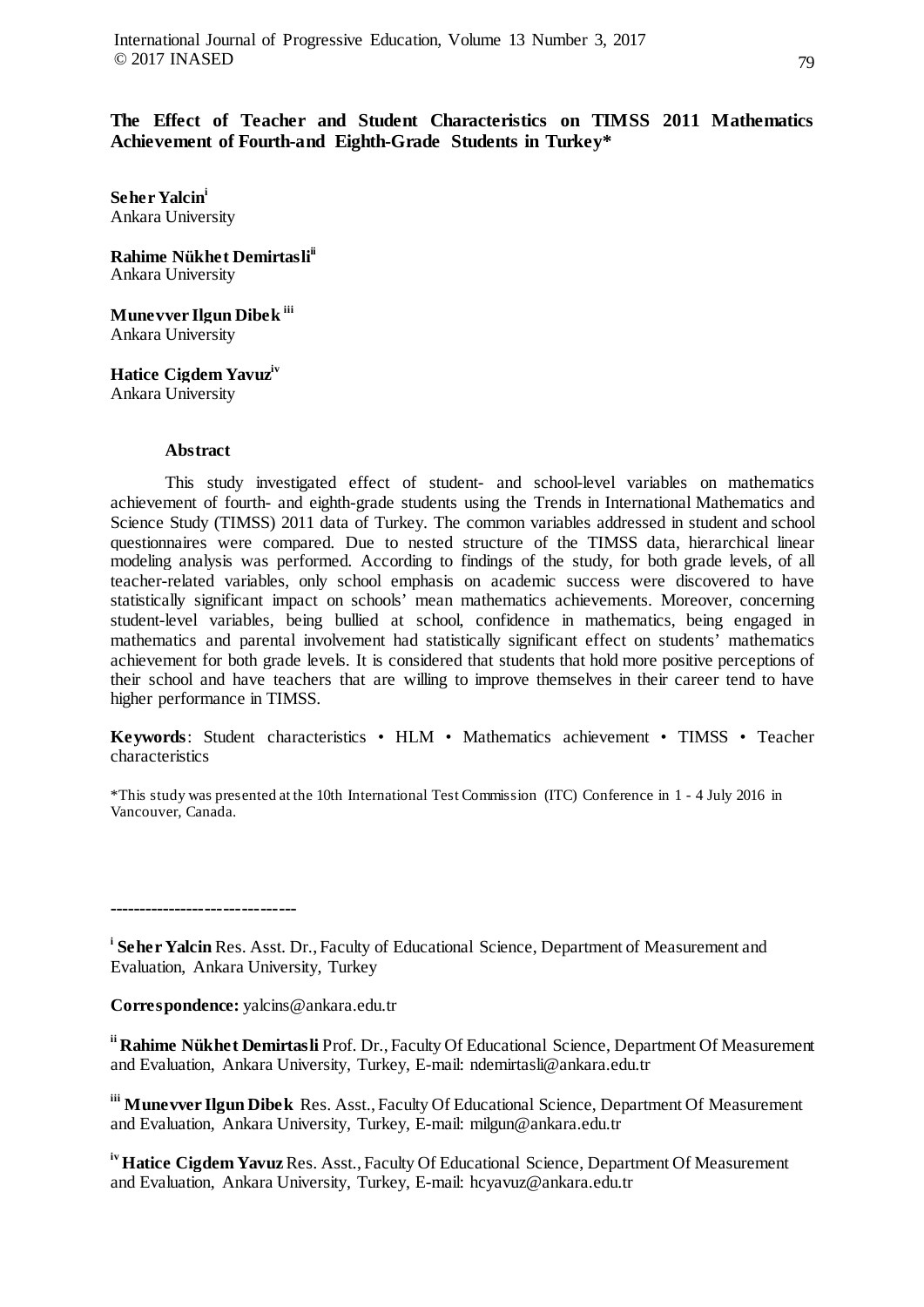**The Effect of Teacher and Student Characteristics on TIMSS 2011 Mathematics Achievement of Fourth-and Eighth-Grade Students in Turkey\***

**Seher Yalcini** Ankara University

**Rahime Nükhet Demirtasli ii** Ankara University

**Munevver Ilgun Dibek iii** Ankara University

**Hatice Cigdem Yavuziv** Ankara University

# **Abstract**

This study investigated effect of student- and school-level variables on mathematics achievement of fourth- and eighth-grade students using the Trends in International Mathematics and Science Study (TIMSS) 2011 data of Turkey. The common variables addressed in student and school questionnaires were compared. Due to nested structure of the TIMSS data, hierarchical linear modeling analysis was performed. According to findings of the study, for both grade levels, of all teacher-related variables, only school emphasis on academic success were discovered to have statistically significant impact on schools' mean mathematics achievements. Moreover, concerning student-level variables, being bullied at school, confidence in mathematics, being engaged in mathematics and parental involvement had statistically significant effect on students' mathematics achievement for both grade levels. It is considered that students that hold more positive perceptions of their school and have teachers that are willing to improve themselves in their career tend to have higher performance in TIMSS.

**Keywords**: Student characteristics • HLM • Mathematics achievement • TIMSS • Teacher characteristics

\*This study was presented at the 10th International Test Commission (ITC) Conference in 1 - 4 July 2016 in Vancouver, Canada.

**-------------------------------**

<sup>i</sup> Seher Yalcin Res. Asst. Dr., Faculty of Educational Science, Department of Measurement and Evaluation, Ankara University, Turkey

**Correspondence:** yalcins@ankara.edu.tr

**ii Rahime Nükhet Demirtasli** Prof. Dr., Faculty Of Educational Science, Department Of Measurement and Evaluation, Ankara University, Turkey, E-mail: ndemirtasli@ankara.edu.tr

**iii Munevver Ilgun Dibek** Res. Asst., Faculty Of Educational Science, Department Of Measurement and Evaluation, Ankara University, Turkey, E-mail: milgun@ankara.edu.tr

<sup>iv</sup> Hatice Cigdem Yavuz Res. Asst., Faculty Of Educational Science, Department Of Measurement and Evaluation, Ankara University, Turkey, E-mail: hcyavuz@ankara.edu.tr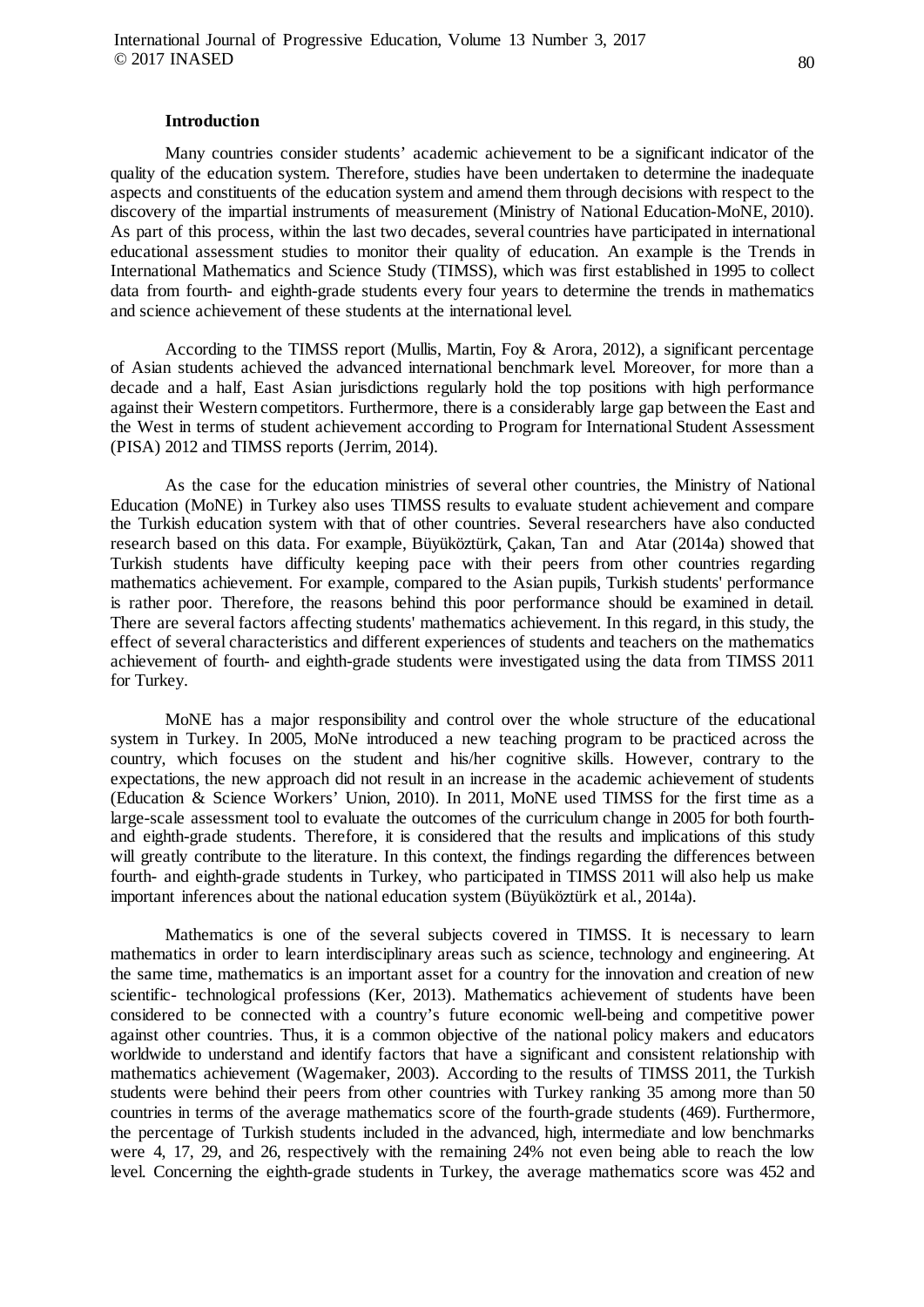#### **Introduction**

Many countries consider students' academic achievement to be a significant indicator of the quality of the education system. Therefore, studies have been undertaken to determine the inadequate aspects and constituents of the education system and amend them through decisions with respect to the discovery of the impartial instruments of measurement (Ministry of National Education-MoNE, 2010). As part of this process, within the last two decades, several countries have participated in international educational assessment studies to monitor their quality of education. An example is the Trends in International Mathematics and Science Study (TIMSS), which was first established in 1995 to collect data from fourth- and eighth-grade students every four years to determine the trends in mathematics and science achievement of these students at the international level.

According to the TIMSS report (Mullis, Martin, Foy & Arora, 2012), a significant percentage of Asian students achieved the advanced international benchmark level. Moreover, for more than a decade and a half, East Asian jurisdictions regularly hold the top positions with high performance against their Western competitors. Furthermore, there is a considerably large gap between the East and the West in terms of student achievement according to Program for International Student Assessment (PISA) 2012 and TIMSS reports (Jerrim, 2014).

As the case for the education ministries of several other countries, the Ministry of National Education (MoNE) in Turkey also uses TIMSS results to evaluate student achievement and compare the Turkish education system with that of other countries. Several researchers have also conducted research based on this data. For example, Büyüköztürk, Çakan, Tan and Atar (2014a) showed that Turkish students have difficulty keeping pace with their peers from other countries regarding mathematics achievement. For example, compared to the Asian pupils, Turkish students' performance is rather poor. Therefore, the reasons behind this poor performance should be examined in detail. There are several factors affecting students' mathematics achievement. In this regard, in this study, the effect of several characteristics and different experiences of students and teachers on the mathematics achievement of fourth- and eighth-grade students were investigated using the data from TIMSS 2011 for Turkey.

MoNE has a major responsibility and control over the whole structure of the educational system in Turkey. In 2005, MoNe introduced a new teaching program to be practiced across the country, which focuses on the student and his/her cognitive skills. However, contrary to the expectations, the new approach did not result in an increase in the academic achievement of students (Education & Science Workers' Union, 2010). In 2011, MoNE used TIMSS for the first time as a large-scale assessment tool to evaluate the outcomes of the curriculum change in 2005 for both fourthand eighth-grade students. Therefore, it is considered that the results and implications of this study will greatly contribute to the literature. In this context, the findings regarding the differences between fourth- and eighth-grade students in Turkey, who participated in TIMSS 2011 will also help us make important inferences about the national education system (Büyüköztürk et al., 2014a).

Mathematics is one of the several subjects covered in TIMSS. It is necessary to learn mathematics in order to learn interdisciplinary areas such as science, technology and engineering. At the same time, mathematics is an important asset for a country for the innovation and creation of new scientific- technological professions (Ker, 2013). Mathematics achievement of students have been considered to be connected with a country's future economic well-being and competitive power against other countries. Thus, it is a common objective of the national policy makers and educators worldwide to understand and identify factors that have a significant and consistent relationship with mathematics achievement (Wagemaker, 2003). According to the results of TIMSS 2011, the Turkish students were behind their peers from other countries with Turkey ranking 35 among more than 50 countries in terms of the average mathematics score of the fourth-grade students (469). Furthermore, the percentage of Turkish students included in the advanced, high, intermediate and low benchmarks were 4, 17, 29, and 26, respectively with the remaining 24% not even being able to reach the low level. Concerning the eighth-grade students in Turkey, the average mathematics score was 452 and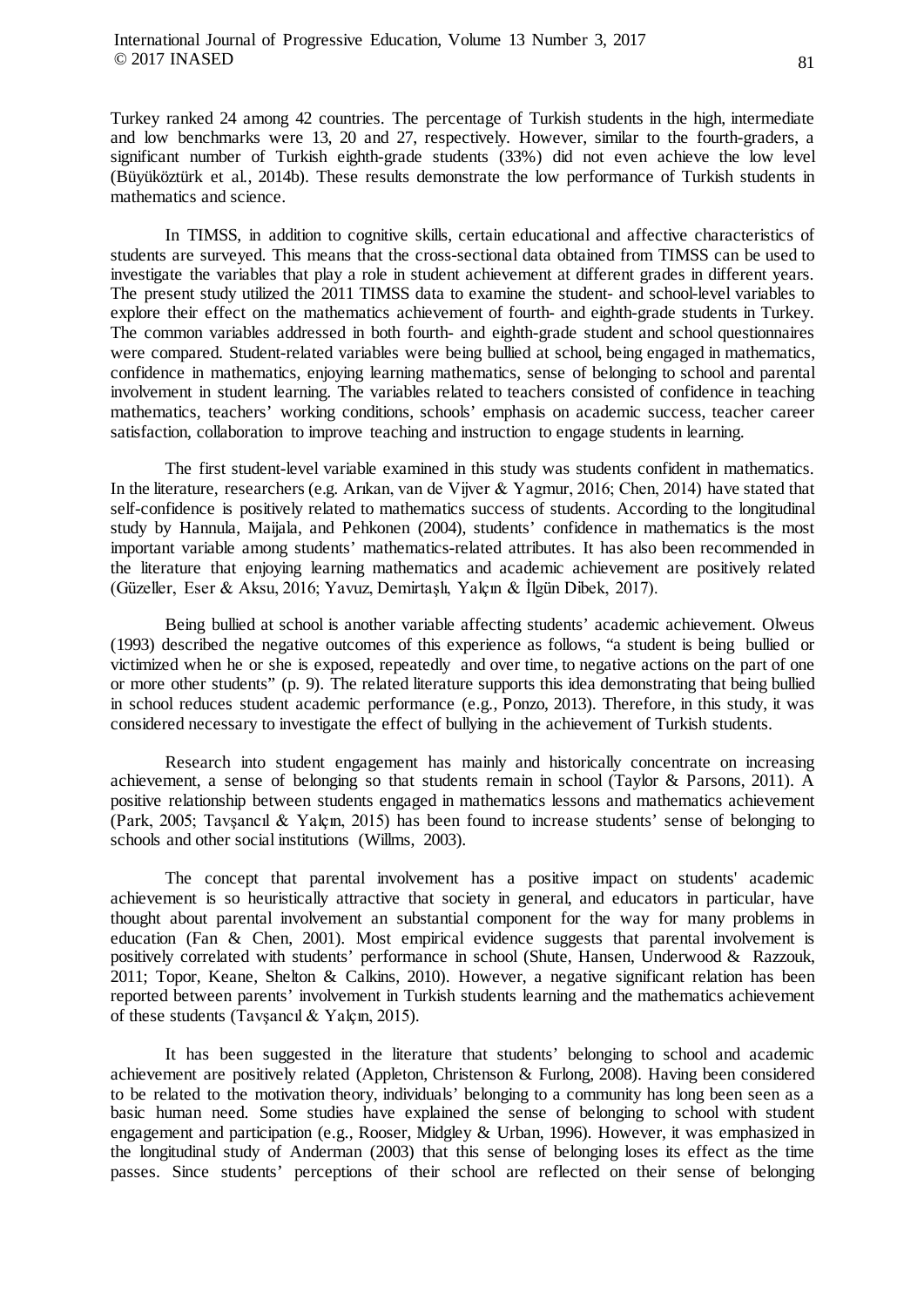Turkey ranked 24 among 42 countries. The percentage of Turkish students in the high, intermediate and low benchmarks were 13, 20 and 27, respectively. However, similar to the fourth-graders, a significant number of Turkish eighth-grade students (33%) did not even achieve the low level (Büyüköztürk et al., 2014b). These results demonstrate the low performance of Turkish students in mathematics and science.

In TIMSS, in addition to cognitive skills, certain educational and affective characteristics of students are surveyed. This means that the cross-sectional data obtained from TIMSS can be used to investigate the variables that play a role in student achievement at different grades in different years. The present study utilized the 2011 TIMSS data to examine the student- and school-level variables to explore their effect on the mathematics achievement of fourth- and eighth-grade students in Turkey. The common variables addressed in both fourth- and eighth-grade student and school questionnaires were compared. Student-related variables were being bullied at school, being engaged in mathematics, confidence in mathematics, enjoying learning mathematics, sense of belonging to school and parental involvement in student learning. The variables related to teachers consisted of confidence in teaching mathematics, teachers' working conditions, schools' emphasis on academic success, teacher career satisfaction, collaboration to improve teaching and instruction to engage students in learning.

The first student-level variable examined in this study was students confident in mathematics. In the literature, researchers (e.g. Arıkan, van de Vijver & Yagmur, 2016; Chen, 2014) have stated that self-confidence is positively related to mathematics success of students. According to the longitudinal study by Hannula, Maijala, and Pehkonen (2004), students' confidence in mathematics is the most important variable among students' mathematics-related attributes. It has also been recommended in the literature that enjoying learning mathematics and academic achievement are positively related (Güzeller, Eser & Aksu, 2016; Yavuz, Demirtaşlı, Yalçın & İlgün Dibek, 2017).

Being bullied at school is another variable affecting students' academic achievement. Olweus (1993) described the negative outcomes of this experience as follows, "a student is being bullied or victimized when he or she is exposed, repeatedly and over time, to negative actions on the part of one or more other students" (p. 9). The related literature supports this idea demonstrating that being bullied in school reduces student academic performance (e.g., Ponzo, 2013). Therefore, in this study, it was considered necessary to investigate the effect of bullying in the achievement of Turkish students.

Research into student engagement has mainly and historically concentrate on increasing achievement, a sense of belonging so that students remain in school (Taylor & Parsons, 2011). A positive relationship between students engaged in mathematics lessons and mathematics achievement (Park, 2005; Tavşancıl & Yalçın, 2015) has been found to increase students' sense of belonging to schools and other social institutions (Willms, 2003).

The concept that parental involvement has a positive impact on students' academic achievement is so heuristically attractive that society in general, and educators in particular, have thought about parental involvement an substantial component for the way for many problems in education (Fan & Chen, 2001). Most empirical evidence suggests that parental involvement is positively correlated with students' performance in school (Shute, Hansen, Underwood & Razzouk, 2011; Topor, Keane, Shelton & Calkins, 2010). However, a negative significant relation has been reported between parents' involvement in Turkish students learning and the mathematics achievement of these students (Tavşancıl & Yalçın, 2015).

It has been suggested in the literature that students' belonging to school and academic achievement are positively related (Appleton, Christenson & Furlong, 2008). Having been considered to be related to the motivation theory, individuals' belonging to a community has long been seen as a basic human need. Some studies have explained the sense of belonging to school with student engagement and participation (e.g., Rooser, Midgley & Urban, 1996). However, it was emphasized in the longitudinal study of Anderman (2003) that this sense of belonging loses its effect as the time passes. Since students' perceptions of their school are reflected on their sense of belonging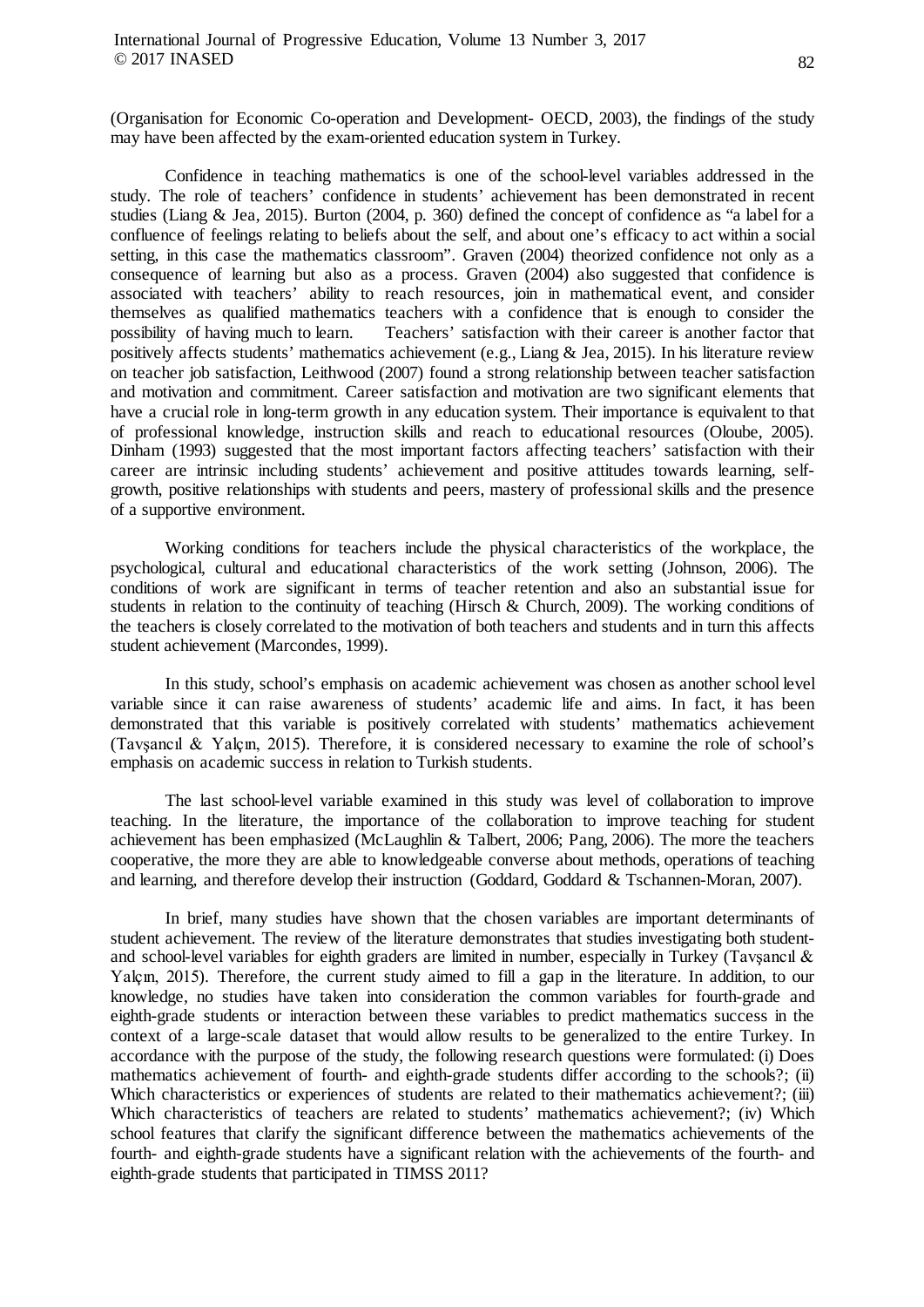(Organisation for Economic Co-operation and Development- OECD, 2003), the findings of the study may have been affected by the exam-oriented education system in Turkey.

Confidence in teaching mathematics is one of the school-level variables addressed in the study. The role of teachers' confidence in students' achievement has been demonstrated in recent studies (Liang & Jea, 2015). Burton (2004, p. 360) defined the concept of confidence as "a label for a confluence of feelings relating to beliefs about the self, and about one's efficacy to act within a social setting, in this case the mathematics classroom". Graven (2004) theorized confidence not only as a consequence of learning but also as a process. Graven (2004) also suggested that confidence is associated with teachers' ability to reach resources, join in mathematical event, and consider themselves as qualified mathematics teachers with a confidence that is enough to consider the possibility of having much to learn. Teachers' satisfaction with their career is another factor that Teachers' satisfaction with their career is another factor that positively affects students' mathematics achievement (e.g., Liang & Jea, 2015). In his literature review on teacher job satisfaction, Leithwood (2007) found a strong relationship between teacher satisfaction and motivation and commitment. Career satisfaction and motivation are two significant elements that have a crucial role in long-term growth in any education system. Their importance is equivalent to that of professional knowledge, instruction skills and reach to educational resources (Oloube, 2005). Dinham (1993) suggested that the most important factors affecting teachers' satisfaction with their career are intrinsic including students' achievement and positive attitudes towards learning, selfgrowth, positive relationships with students and peers, mastery of professional skills and the presence of a supportive environment.

Working conditions for teachers include the physical characteristics of the workplace, the psychological, cultural and educational characteristics of the work setting (Johnson, 2006). The conditions of work are significant in terms of teacher retention and also an substantial issue for students in relation to the continuity of teaching (Hirsch & Church, 2009). The working conditions of the teachers is closely correlated to the motivation of both teachers and students and in turn this affects student achievement (Marcondes, 1999).

In this study, school's emphasis on academic achievement was chosen as another school level variable since it can raise awareness of students' academic life and aims. In fact, it has been demonstrated that this variable is positively correlated with students' mathematics achievement (Tavşancıl & Yalçın, 2015). Therefore, it is considered necessary to examine the role of school's emphasis on academic success in relation to Turkish students.

The last school-level variable examined in this study was level of collaboration to improve teaching. In the literature, the importance of the collaboration to improve teaching for student achievement has been emphasized (McLaughlin & Talbert, 2006; Pang, 2006). The more the teachers cooperative, the more they are able to knowledgeable converse about methods, operations of teaching and learning, and therefore develop their instruction (Goddard, Goddard & Tschannen-Moran, 2007).

In brief, many studies have shown that the chosen variables are important determinants of student achievement. The review of the literature demonstrates that studies investigating both studentand school-level variables for eighth graders are limited in number, especially in Turkey (Tavşancıl & Yalçın, 2015). Therefore, the current study aimed to fill a gap in the literature. In addition, to our knowledge, no studies have taken into consideration the common variables for fourth-grade and eighth-grade students or interaction between these variables to predict mathematics success in the context of a large-scale dataset that would allow results to be generalized to the entire Turkey. In accordance with the purpose of the study, the following research questions were formulated: (i) Does mathematics achievement of fourth- and eighth-grade students differ according to the schools?; (ii) Which characteristics or experiences of students are related to their mathematics achievement?; (iii) Which characteristics of teachers are related to students' mathematics achievement?; (iv) Which school features that clarify the significant difference between the mathematics achievements of the fourth- and eighth-grade students have a significant relation with the achievements of the fourth- and eighth-grade students that participated in TIMSS 2011?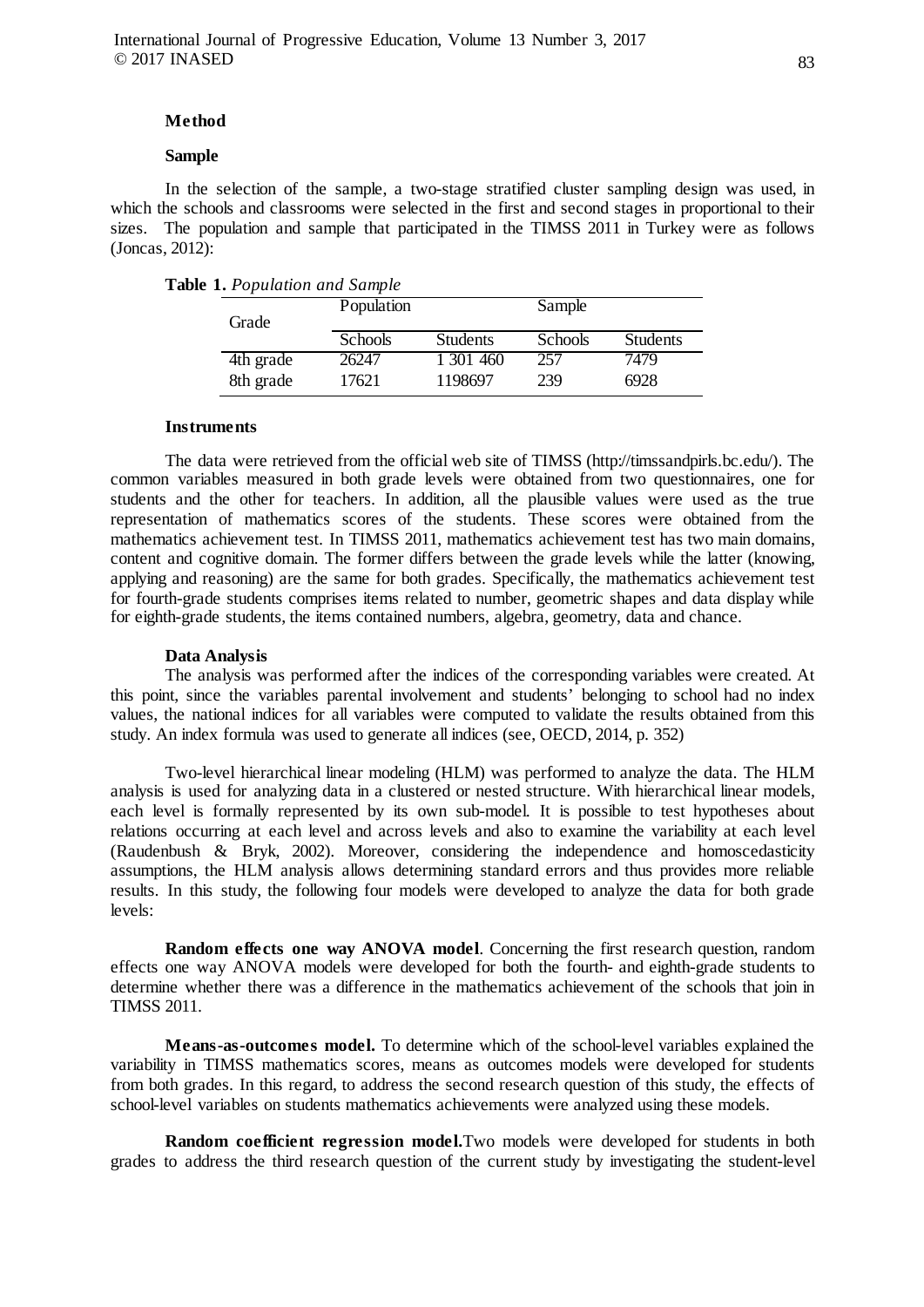### **Method**

# **Sample**

In the selection of the sample, a two-stage stratified cluster sampling design was used, in which the schools and classrooms were selected in the first and second stages in proportional to their sizes. The population and sample that participated in the TIMSS 2011 in Turkey were as follows (Joncas, 2012):

|  | Table 1. Population and Sample |  |  |
|--|--------------------------------|--|--|
|--|--------------------------------|--|--|

| Grade     | Population |                 | Sample  |                 |  |
|-----------|------------|-----------------|---------|-----------------|--|
|           | Schools    | <b>Students</b> | Schools | <b>Students</b> |  |
| 4th grade | 26247      | 1 301 460       | 257     | 7479            |  |
| 8th grade | 17621      | 1198697         | 239     | 6928            |  |

### **Instruments**

The data were retrieved from the official web site of TIMSS [\(http://timssandpirls.bc.edu/\)](http://timssandpirls.bc.edu/). The common variables measured in both grade levels were obtained from two questionnaires, one for students and the other for teachers. In addition, all the plausible values were used as the true representation of mathematics scores of the students. These scores were obtained from the mathematics achievement test. In TIMSS 2011, mathematics achievement test has two main domains, content and cognitive domain. The former differs between the grade levels while the latter (knowing, applying and reasoning) are the same for both grades. Specifically, the mathematics achievement test for fourth-grade students comprises items related to number, geometric shapes and data display while for eighth-grade students, the items contained numbers, algebra, geometry, data and chance.

#### **Data Analysis**

The analysis was performed after the indices of the corresponding variables were created. At this point, since the variables parental involvement and students' belonging to school had no index values, the national indices for all variables were computed to validate the results obtained from this study. An index formula was used to generate all indices (see, OECD, 2014, p. 352)

Two-level hierarchical linear modeling (HLM) was performed to analyze the data. The HLM analysis is used for analyzing data in a clustered or nested structure. With hierarchical linear models, each level is formally represented by its own sub-model. It is possible to test hypotheses about relations occurring at each level and across levels and also to examine the variability at each level (Raudenbush & Bryk, 2002). Moreover, considering the independence and homoscedasticity assumptions, the HLM analysis allows determining standard errors and thus provides more reliable results. In this study, the following four models were developed to analyze the data for both grade levels:

**Random effects one way ANOVA model**. Concerning the first research question, random effects one way ANOVA models were developed for both the fourth- and eighth-grade students to determine whether there was a difference in the mathematics achievement of the schools that join in TIMSS 2011.

**Means-as-outcomes model.** To determine which of the school-level variables explained the variability in TIMSS mathematics scores, means as outcomes models were developed for students from both grades. In this regard, to address the second research question of this study, the effects of school-level variables on students mathematics achievements were analyzed using these models.

**Random coefficient regression model.**Two models were developed for students in both grades to address the third research question of the current study by investigating the student-level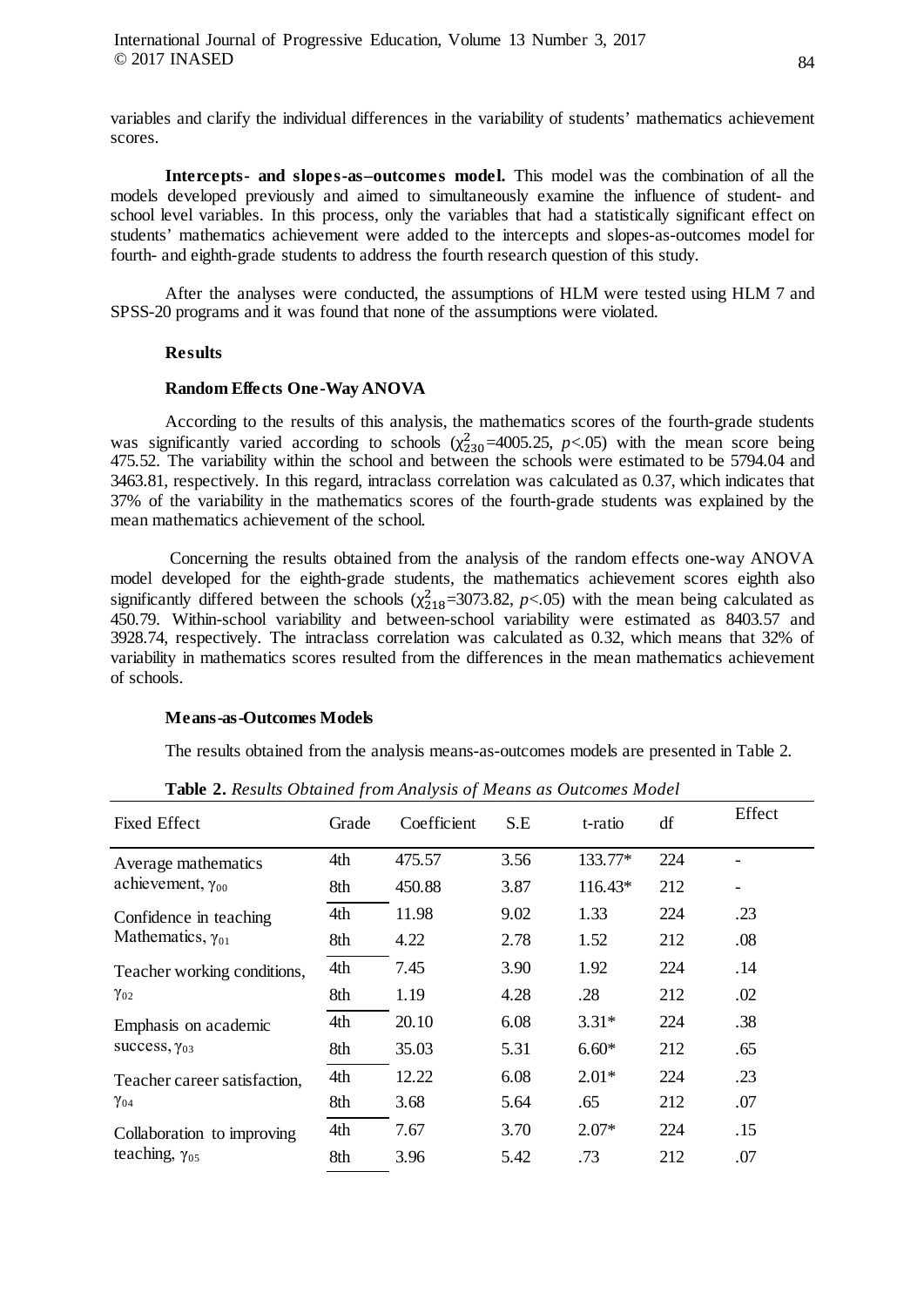variables and clarify the individual differences in the variability of students' mathematics achievement scores.

**Intercepts- and slopes-as–outcomes model.** This model was the combination of all the models developed previously and aimed to simultaneously examine the influence of student- and school level variables. In this process, only the variables that had a statistically significant effect on students' mathematics achievement were added to the intercepts and slopes-as-outcomes model for fourth- and eighth-grade students to address the fourth research question of this study.

After the analyses were conducted, the assumptions of HLM were tested using HLM 7 and SPSS-20 programs and it was found that none of the assumptions were violated.

### **Results**

#### **Random Effects One-Way ANOVA**

According to the results of this analysis, the mathematics scores of the fourth-grade students was significantly varied according to schools  $(\chi^2_{230} = 4005.25, p < .05)$  with the mean score being 475.52. The variability within the school and between the schools were estimated to be 5794.04 and 3463.81, respectively. In this regard, intraclass correlation was calculated as 0.37, which indicates that 37% of the variability in the mathematics scores of the fourth-grade students was explained by the mean mathematics achievement of the school.

Concerning the results obtained from the analysis of the random effects one-way ANOVA model developed for the eighth-grade students, the mathematics achievement scores eighth also significantly differed between the schools  $(\chi^2_{218} = 3073.82, p < .05)$  with the mean being calculated as 450.79. Within-school variability and between-school variability were estimated as 8403.57 and 3928.74, respectively. The intraclass correlation was calculated as 0.32, which means that 32% of variability in mathematics scores resulted from the differences in the mean mathematics achievement of schools.

#### **Means-as-Outcomes Models**

The results obtained from the analysis means-as-outcomes models are presented in Table 2.

| <b>Fixed Effect</b>                                   | Grade | Coefficient | S.E  | t-ratio | df  | Effect |
|-------------------------------------------------------|-------|-------------|------|---------|-----|--------|
|                                                       |       |             |      |         |     |        |
| Average mathematics                                   | 4th   | 475.57      | 3.56 | 133.77* | 224 |        |
| achievement, $\gamma_{00}$                            | 8th   | 450.88      | 3.87 | 116.43* | 212 | -      |
| Confidence in teaching                                | 4th   | 11.98       | 9.02 | 1.33    | 224 | .23    |
| Mathematics, $\gamma_{01}$                            | 8th   | 4.22        | 2.78 | 1.52    | 212 | .08    |
| Teacher working conditions,                           | 4th   | 7.45        | 3.90 | 1.92    | 224 | .14    |
| $\gamma_{02}$                                         | 8th   | 1.19        | 4.28 | .28     | 212 | .02    |
| Emphasis on academic                                  | 4th   | 20.10       | 6.08 | $3.31*$ | 224 | .38    |
| success, $\gamma_{03}$                                | 8th   | 35.03       | 5.31 | $6.60*$ | 212 | .65    |
| Teacher career satisfaction,<br>$\gamma_{04}$         | 4th   | 12.22       | 6.08 | $2.01*$ | 224 | .23    |
|                                                       | 8th   | 3.68        | 5.64 | .65     | 212 | .07    |
| Collaboration to improving<br>teaching, $\gamma_{05}$ | 4th   | 7.67        | 3.70 | $2.07*$ | 224 | .15    |
|                                                       | 8th   | 3.96        | 5.42 | .73     | 212 | .07    |

**Table 2.** *Results Obtained from Analysis of Means as Outcomes Model*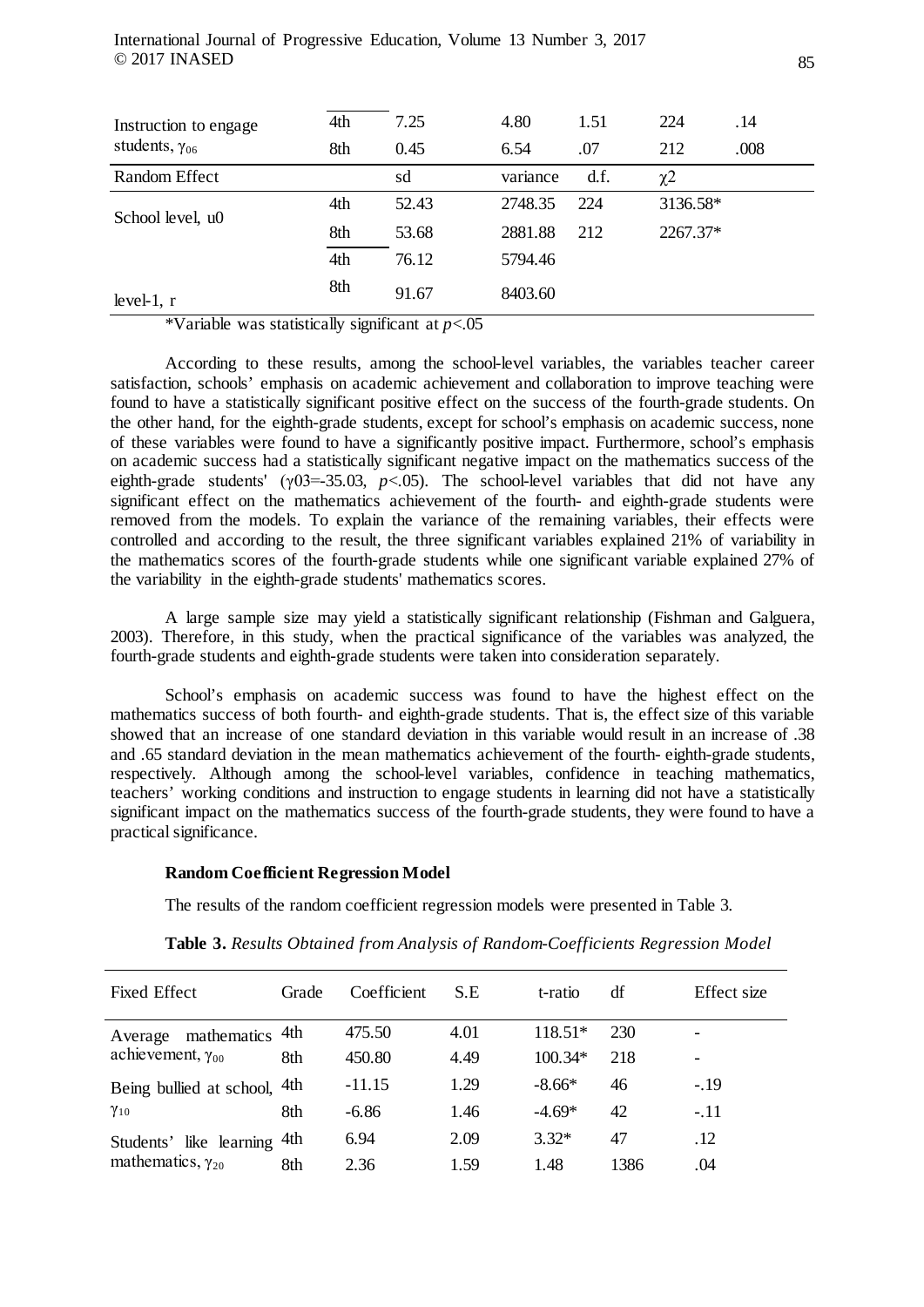| Instruction to engage   | 4th | 7.25  | 4.80     | 1.51 | 224                 | .14  |
|-------------------------|-----|-------|----------|------|---------------------|------|
| students, $\gamma_{06}$ | 8th | 0.45  | 6.54     | .07  | 212                 | .008 |
| Random Effect           |     | sd    | variance | d.f. | $\chi$ <sup>2</sup> |      |
| School level, u0        | 4th | 52.43 | 2748.35  | 224  | 3136.58*            |      |
|                         | 8th | 53.68 | 2881.88  | 212  | 2267.37*            |      |
|                         | 4th | 76.12 | 5794.46  |      |                     |      |
| level-1, $r$            | 8th | 91.67 | 8403.60  |      |                     |      |

\*Variable was statistically significant at *p*<.05

According to these results, among the school-level variables, the variables teacher career satisfaction, schools' emphasis on academic achievement and collaboration to improve teaching were found to have a statistically significant positive effect on the success of the fourth-grade students. On the other hand, for the eighth-grade students, except for school's emphasis on academic success, none of these variables were found to have a significantly positive impact. Furthermore, school's emphasis on academic success had a statistically significant negative impact on the mathematics success of the eighth-grade students' (γ03=-35.03, *p*<.05). The school-level variables that did not have any significant effect on the mathematics achievement of the fourth- and eighth-grade students were removed from the models. To explain the variance of the remaining variables, their effects were controlled and according to the result, the three significant variables explained 21% of variability in the mathematics scores of the fourth-grade students while one significant variable explained 27% of the variability in the eighth-grade students' mathematics scores.

A large sample size may yield a statistically significant relationship (Fishman and Galguera, 2003). Therefore, in this study, when the practical significance of the variables was analyzed, the fourth-grade students and eighth-grade students were taken into consideration separately.

School's emphasis on academic success was found to have the highest effect on the mathematics success of both fourth- and eighth-grade students. That is, the effect size of this variable showed that an increase of one standard deviation in this variable would result in an increase of .38 and .65 standard deviation in the mean mathematics achievement of the fourth- eighth-grade students, respectively. Although among the school-level variables, confidence in teaching mathematics, teachers' working conditions and instruction to engage students in learning did not have a statistically significant impact on the mathematics success of the fourth-grade students, they were found to have a practical significance.

## **Random Coefficient Regression Model**

The results of the random coefficient regression models were presented in Table 3.

| <b>Fixed Effect</b>        | Grade | Coefficient | S.E  | t-ratio   | df   | Effect size |
|----------------------------|-------|-------------|------|-----------|------|-------------|
| mathematics<br>Average     | 4th   | 475.50      | 4.01 | 118.51*   | 230  |             |
| achievement, $\gamma_{00}$ | 8th   | 450.80      | 4.49 | $100.34*$ | 218  |             |
| Being bullied at school,   | 4th   | $-11.15$    | 1.29 | $-8.66*$  | 46   | $-19$       |
| $\gamma_{10}$              | 8th   | $-6.86$     | 1.46 | $-4.69*$  | 42   | $-.11$      |
| Students' like learning    | 4th   | 6.94        | 2.09 | $3.32*$   | 47   | .12         |
| mathematics, $\gamma_{20}$ | 8th   | 2.36        | 1.59 | 1.48      | 1386 | .04         |

**Table 3.** *Results Obtained from Analysis of Random-Coefficients Regression Model*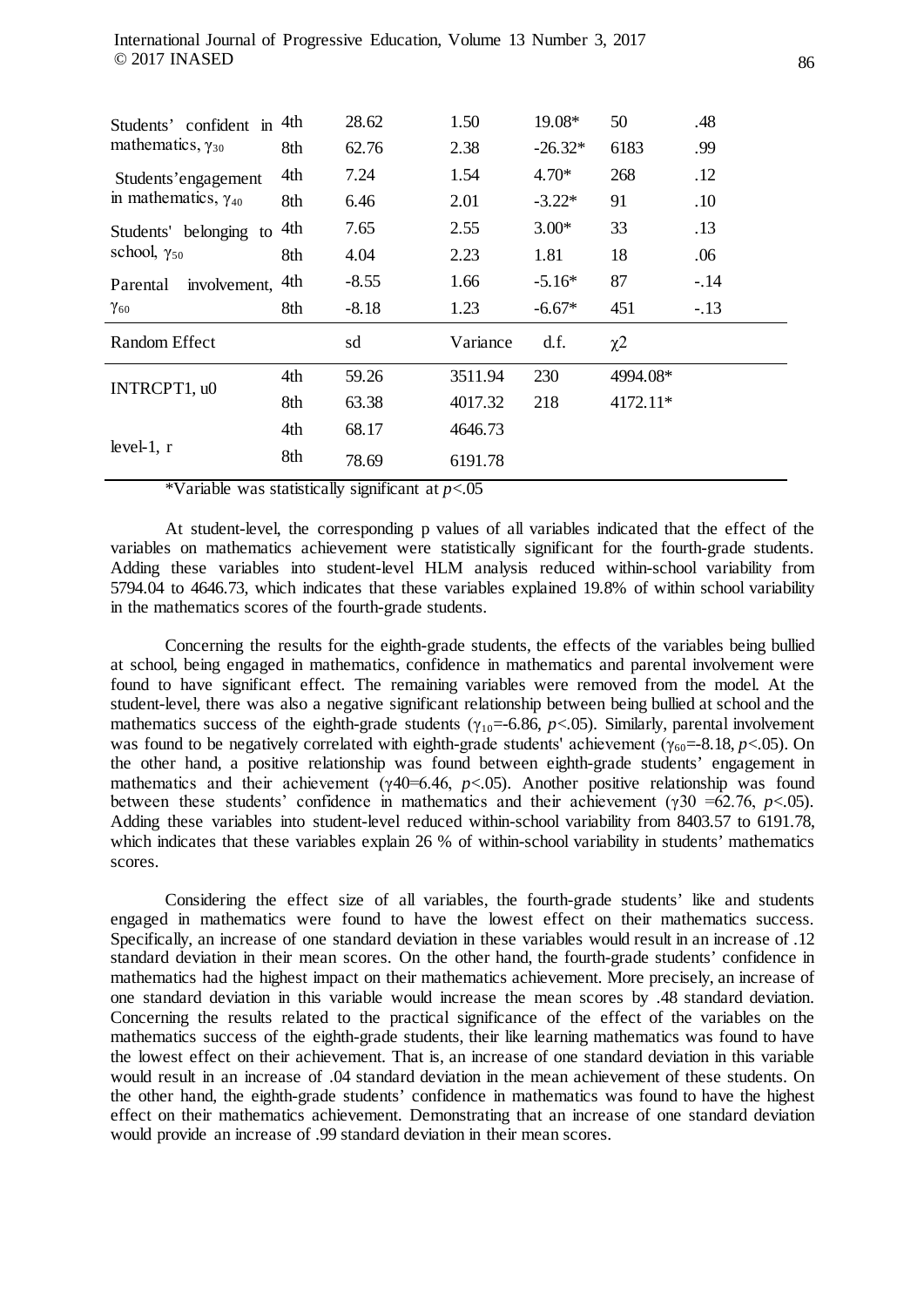| Students' confident in<br>mathematics, $\gamma_{30}$ | 4th<br>8th | 28.62<br>62.76 | 1.50<br>2.38 | 19.08*<br>$-26.32*$ | 50<br>6183          | .48<br>.99 |
|------------------------------------------------------|------------|----------------|--------------|---------------------|---------------------|------------|
| Students'engagement                                  | 4th        | 7.24           | 1.54         | $4.70*$             | 268                 | .12        |
| in mathematics, $\gamma_{40}$                        | 8th        | 6.46           | 2.01         | $-3.22*$            | 91                  | .10        |
| Students' belonging to                               | 4th        | 7.65           | 2.55         | $3.00*$             | 33                  | .13        |
| school, $\gamma_{50}$                                | 8th        | 4.04           | 2.23         | 1.81                | 18                  | .06        |
| involvement,<br>Parental                             | 4th        | $-8.55$        | 1.66         | $-5.16*$            | 87                  | $-.14$     |
| $\gamma_{60}$                                        | 8th        | $-8.18$        | 1.23         | $-6.67*$            | 451                 | $-.13$     |
| Random Effect                                        |            | sd             | Variance     | d.f.                | $\chi$ <sup>2</sup> |            |
| INTRCPT1, u0                                         | 4th        | 59.26          | 3511.94      | 230                 | 4994.08*            |            |
|                                                      | 8th        | 63.38          | 4017.32      | 218                 | $4172.11*$          |            |
|                                                      | 4th        | 68.17          | 4646.73      |                     |                     |            |
| level-1, $r$                                         | 8th        | 78.69          | 6191.78      |                     |                     |            |

\*Variable was statistically significant at *p*<.05

At student-level, the corresponding p values of all variables indicated that the effect of the variables on mathematics achievement were statistically significant for the fourth-grade students. Adding these variables into student-level HLM analysis reduced within-school variability from 5794.04 to 4646.73, which indicates that these variables explained 19.8% of within school variability in the mathematics scores of the fourth-grade students.

Concerning the results for the eighth-grade students, the effects of the variables being bullied at school, being engaged in mathematics, confidence in mathematics and parental involvement were found to have significant effect. The remaining variables were removed from the model. At the student-level, there was also a negative significant relationship between being bullied at school and the mathematics success of the eighth-grade students ( $\gamma_{10}$ =-6.86, *p*<.05). Similarly, parental involvement was found to be negatively correlated with eighth-grade students' achievement ( $\gamma_{60}$ =-8.18, *p*<.05). On the other hand, a positive relationship was found between eighth-grade students' engagement in mathematics and their achievement (γ40=6.46, *p*<.05). Another positive relationship was found between these students' confidence in mathematics and their achievement (γ30 =62.76, *p*<.05). Adding these variables into student-level reduced within-school variability from 8403.57 to 6191.78, which indicates that these variables explain 26 % of within-school variability in students' mathematics scores.

Considering the effect size of all variables, the fourth-grade students' like and students engaged in mathematics were found to have the lowest effect on their mathematics success. Specifically, an increase of one standard deviation in these variables would result in an increase of .12 standard deviation in their mean scores. On the other hand, the fourth-grade students' confidence in mathematics had the highest impact on their mathematics achievement. More precisely, an increase of one standard deviation in this variable would increase the mean scores by .48 standard deviation. Concerning the results related to the practical significance of the effect of the variables on the mathematics success of the eighth-grade students, their like learning mathematics was found to have the lowest effect on their achievement. That is, an increase of one standard deviation in this variable would result in an increase of .04 standard deviation in the mean achievement of these students. On the other hand, the eighth-grade students' confidence in mathematics was found to have the highest effect on their mathematics achievement. Demonstrating that an increase of one standard deviation would provide an increase of .99 standard deviation in their mean scores.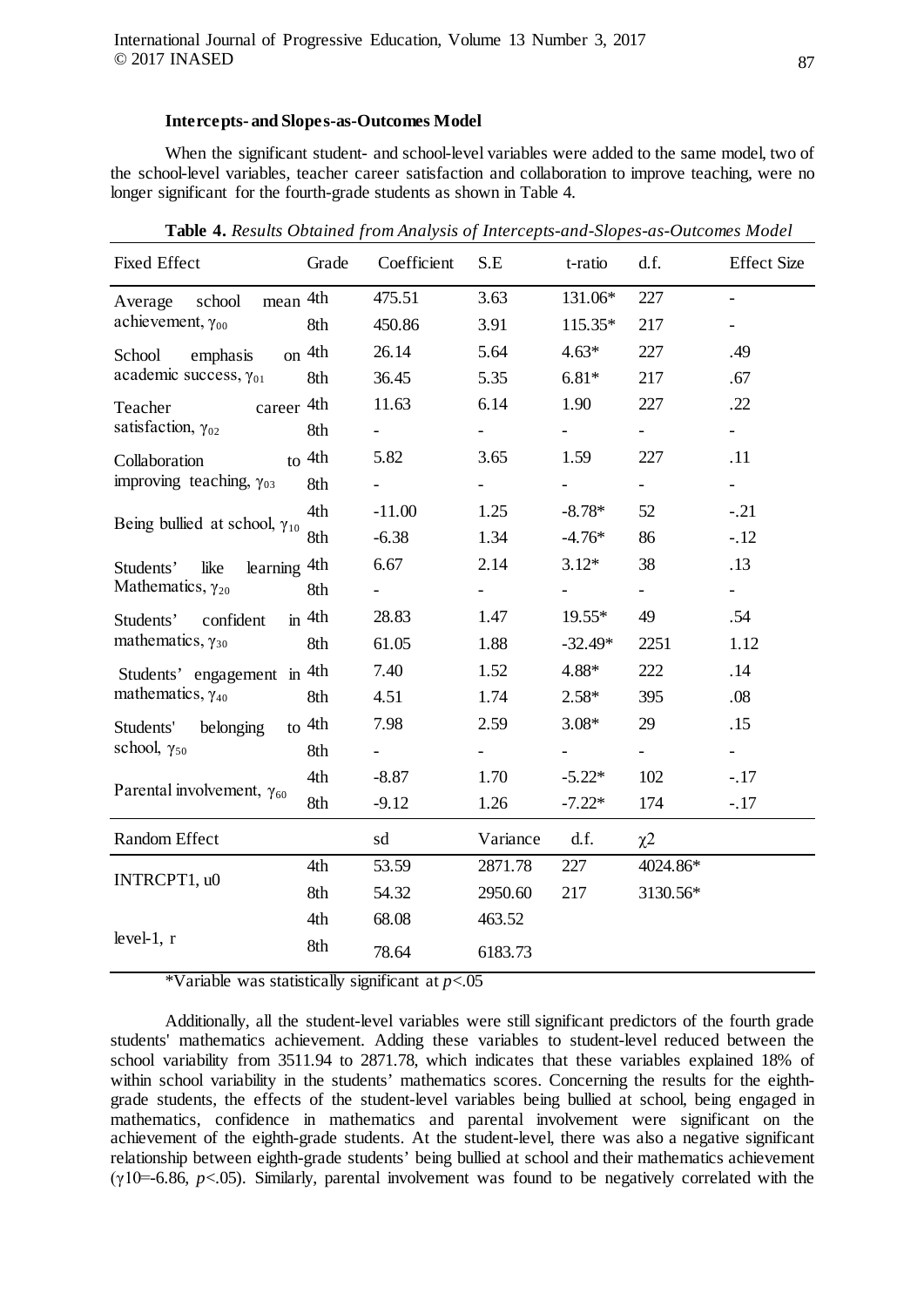#### **Intercepts- and Slopes-as-Outcomes Model**

When the significant student- and school-level variables were added to the same model, two of the school-level variables, teacher career satisfaction and collaboration to improve teaching, were no longer significant for the fourth-grade students as shown in Table 4.

| <b>Fixed Effect</b>                    | Grade             | Coefficient              | S.E                 | t-ratio             | d.f.           | <b>Effect Size</b>       |
|----------------------------------------|-------------------|--------------------------|---------------------|---------------------|----------------|--------------------------|
| mean 4th<br>school<br>Average          |                   | 475.51                   | 3.63                | 131.06*             | 227            | $\blacksquare$           |
| achievement, $\gamma_{00}$             | 8th               | 450.86                   | 3.91                | 115.35*             | 217            | $\overline{\phantom{a}}$ |
| School<br>emphasis                     | <sub>on</sub> 4th | 26.14                    | 5.64                | $4.63*$             | 227            | .49                      |
| academic success, $\gamma_{01}$        | 8th               | 36.45                    | 5.35                | $6.81*$             | 217            | .67                      |
| career 4th<br>Teacher                  |                   | 11.63                    | 6.14                | 1.90                | 227            | .22                      |
| satisfaction, $\gamma_{02}$            | 8th               | $\blacksquare$           | $\blacksquare$      | $\omega_{\rm{max}}$ | $\blacksquare$ | $\omega_{\rm{max}}$      |
| $\frac{1}{2}$ to 4th<br>Collaboration  |                   | 5.82                     | 3.65                | 1.59                | 227            | .11                      |
| improving teaching, $\gamma_{03}$      | 8th               |                          |                     |                     | $\frac{1}{2}$  | $\blacksquare$           |
| Being bullied at school, $\gamma_{10}$ | 4th               | $-11.00$                 | 1.25                | $-8.78*$            | 52             | $-.21$                   |
|                                        | 8th               | $-6.38$                  | 1.34                | $-4.76*$            | 86             | $-12$                    |
| learning 4th<br>like<br>Students'      |                   | 6.67                     | 2.14                | $3.12*$             | 38             | .13                      |
| Mathematics, $\gamma_{20}$             | 8th               | Ξ.                       | $\omega_{\rm{max}}$ |                     | $\sim$         | $\omega_{\rm{max}}$      |
| Students' confident                    | $\sin$ 4th        | 28.83                    | 1.47                | $19.55*$            | 49             | .54                      |
| mathematics, $\gamma_{30}$             | 8th               | 61.05                    | 1.88                | $-32.49*$           | 2251           | 1.12                     |
| Students' engagement in 4th            |                   | 7.40                     | 1.52                | 4.88*               | 222            | .14                      |
| mathematics, $\gamma_{40}$             | 8th               | 4.51                     | 1.74                | $2.58*$             | 395            | .08                      |
| Students' belonging                    | $\frac{4th}{ }$   | 7.98                     | 2.59                | $3.08*$             | 29             | .15                      |
| school, $\gamma_{50}$                  | 8th               | $\overline{\phantom{0}}$ | $\sim 100$          | $\sim 100$          | $\equiv$       | $\omega_{\rm{max}}$      |
|                                        | 4th               | $-8.87$                  | 1.70                | $-5.22*$            | 102            | $-.17$                   |
| Parental involvement, $\gamma_{60}$    | 8th               | $-9.12$                  | 1.26                | $-7.22*$            | 174            | $-.17$                   |
| Random Effect                          |                   | sd                       | Variance            | d.f.                | $\chi^2$       |                          |
| INTRCPT1, u0                           | 4th               | 53.59                    | 2871.78             | 227                 | 4024.86*       |                          |
|                                        | 8th               | 54.32                    | 2950.60             | 217                 | 3130.56*       |                          |
|                                        | 4th               | 68.08                    | 463.52              |                     |                |                          |
| level-1, $r$                           | 8th               | 78.64                    | 6183.73             |                     |                |                          |

**Table 4.** *Results Obtained from Analysis of Intercepts-and-Slopes-as-Outcomes Model* 

\*Variable was statistically significant at *p*<.05

Additionally, all the student-level variables were still significant predictors of the fourth grade students' mathematics achievement. Adding these variables to student-level reduced between the school variability from 3511.94 to 2871.78, which indicates that these variables explained 18% of within school variability in the students' mathematics scores. Concerning the results for the eighthgrade students, the effects of the student-level variables being bullied at school, being engaged in mathematics, confidence in mathematics and parental involvement were significant on the achievement of the eighth-grade students. At the student-level, there was also a negative significant relationship between eighth-grade students' being bullied at school and their mathematics achievement (γ10=-6.86, *p*<.05). Similarly, parental involvement was found to be negatively correlated with the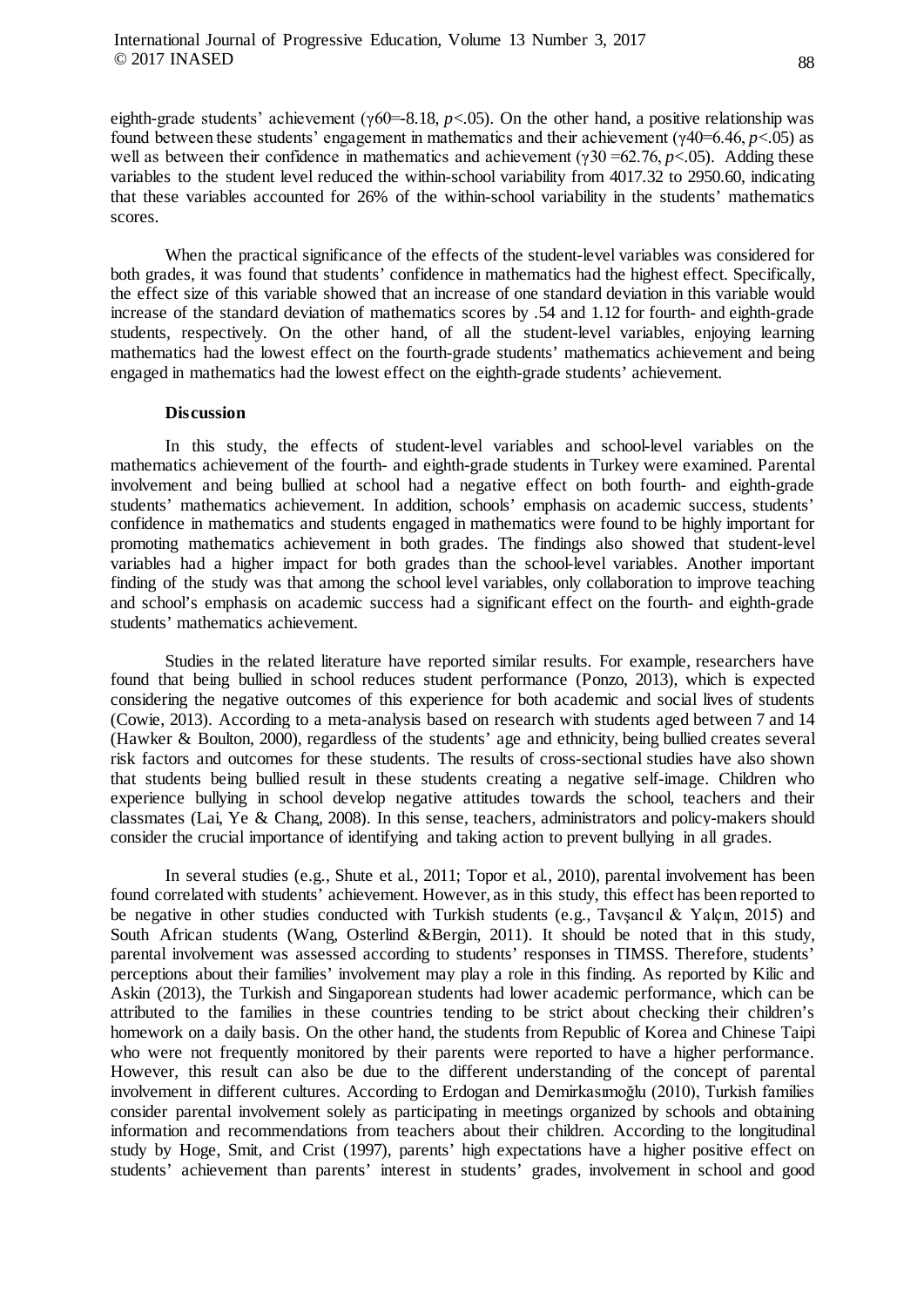eighth-grade students' achievement (γ60=-8.18, *p*<.05). On the other hand, a positive relationship was found between these students' engagement in mathematics and their achievement ( $\gamma$ 40=6.46,  $p$ <.05) as well as between their confidence in mathematics and achievement ( $\gamma$ 30 = 62.76, *p*<.05). Adding these variables to the student level reduced the within-school variability from 4017.32 to 2950.60, indicating that these variables accounted for 26% of the within-school variability in the students' mathematics scores.

When the practical significance of the effects of the student-level variables was considered for both grades, it was found that students' confidence in mathematics had the highest effect. Specifically, the effect size of this variable showed that an increase of one standard deviation in this variable would increase of the standard deviation of mathematics scores by .54 and 1.12 for fourth- and eighth-grade students, respectively. On the other hand, of all the student-level variables, enjoying learning mathematics had the lowest effect on the fourth-grade students' mathematics achievement and being engaged in mathematics had the lowest effect on the eighth-grade students' achievement.

### **Discussion**

In this study, the effects of student-level variables and school-level variables on the mathematics achievement of the fourth- and eighth-grade students in Turkey were examined. Parental involvement and being bullied at school had a negative effect on both fourth- and eighth-grade students' mathematics achievement. In addition, schools' emphasis on academic success, students' confidence in mathematics and students engaged in mathematics were found to be highly important for promoting mathematics achievement in both grades. The findings also showed that student-level variables had a higher impact for both grades than the school-level variables. Another important finding of the study was that among the school level variables, only collaboration to improve teaching and school's emphasis on academic success had a significant effect on the fourth- and eighth-grade students' mathematics achievement.

Studies in the related literature have reported similar results. For example, researchers have found that being bullied in school reduces student performance (Ponzo, 2013), which is expected considering the negative outcomes of this experience for both academic and social lives of students (Cowie, 2013). According to a meta-analysis based on research with students aged between 7 and 14 (Hawker & Boulton, 2000), regardless of the students' age and ethnicity, being bullied creates several risk factors and outcomes for these students. The results of cross-sectional studies have also shown that students being bullied result in these students creating a negative self-image. Children who experience bullying in school develop negative attitudes towards the school, teachers and their classmates (Lai, Ye & Chang, 2008). In this sense, teachers, administrators and policy-makers should consider the crucial importance of identifying and taking action to prevent bullying in all grades.

In several studies (e.g., Shute et al., 2011; Topor et al., 2010), parental involvement has been found correlated with students' achievement. However, as in this study, this effect has been reported to be negative in other studies conducted with Turkish students (e.g., Tavsancıl & Yalçın, 2015) and South African students (Wang, Osterlind &Bergin, 2011). It should be noted that in this study, parental involvement was assessed according to students' responses in TIMSS. Therefore, students' perceptions about their families' involvement may play a role in this finding. As reported by Kilic and Askin (2013), the Turkish and Singaporean students had lower academic performance, which can be attributed to the families in these countries tending to be strict about checking their children's homework on a daily basis. On the other hand, the students from Republic of Korea and Chinese Taipi who were not frequently monitored by their parents were reported to have a higher performance. However, this result can also be due to the different understanding of the concept of parental involvement in different cultures. According to Erdogan and Demirkasımoğlu (2010), Turkish families consider parental involvement solely as participating in meetings organized by schools and obtaining information and recommendations from teachers about their children. According to the longitudinal study by Hoge, Smit, and Crist (1997), parents' high expectations have a higher positive effect on students' achievement than parents' interest in students' grades, involvement in school and good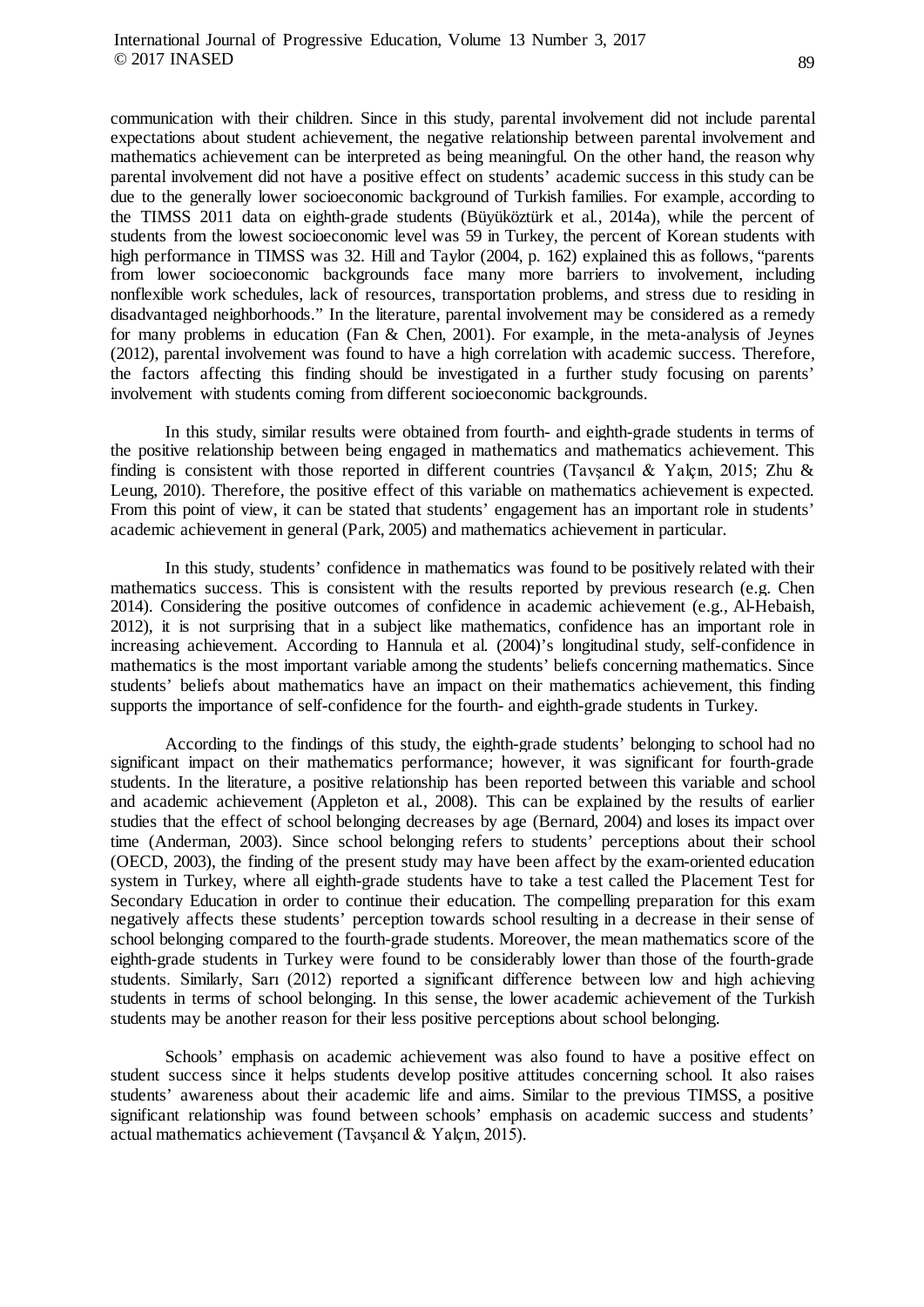communication with their children. Since in this study, parental involvement did not include parental expectations about student achievement, the negative relationship between parental involvement and mathematics achievement can be interpreted as being meaningful. On the other hand, the reason why parental involvement did not have a positive effect on students' academic success in this study can be due to the generally lower socioeconomic background of Turkish families. For example, according to the TIMSS 2011 data on eighth-grade students (Büyüköztürk et al., 2014a), while the percent of students from the lowest socioeconomic level was 59 in Turkey, the percent of Korean students with high performance in TIMSS was 32. Hill and Taylor (2004, p. 162) explained this as follows, "parents from lower socioeconomic backgrounds face many more barriers to involvement, including nonflexible work schedules, lack of resources, transportation problems, and stress due to residing in disadvantaged neighborhoods." In the literature, parental involvement may be considered as a remedy for many problems in education (Fan & Chen, 2001). For example, in the meta-analysis of Jeynes (2012), parental involvement was found to have a high correlation with academic success. Therefore, the factors affecting this finding should be investigated in a further study focusing on parents' involvement with students coming from different socioeconomic backgrounds.

In this study, similar results were obtained from fourth- and eighth-grade students in terms of the positive relationship between being engaged in mathematics and mathematics achievement. This finding is consistent with those reported in different countries (Tavsancıl & Yalçın, 2015; Zhu & Leung, 2010). Therefore, the positive effect of this variable on mathematics achievement is expected. From this point of view, it can be stated that students' engagement has an important role in students' academic achievement in general (Park, 2005) and mathematics achievement in particular.

In this study, students' confidence in mathematics was found to be positively related with their mathematics success. This is consistent with the results reported by previous research (e.g. Chen 2014). Considering the positive outcomes of confidence in academic achievement (e.g., Al-Hebaish, 2012), it is not surprising that in a subject like mathematics, confidence has an important role in increasing achievement. According to Hannula et al. (2004)'s longitudinal study, self-confidence in mathematics is the most important variable among the students' beliefs concerning mathematics. Since students' beliefs about mathematics have an impact on their mathematics achievement, this finding supports the importance of self-confidence for the fourth- and eighth-grade students in Turkey.

According to the findings of this study, the eighth-grade students' belonging to school had no significant impact on their mathematics performance; however, it was significant for fourth-grade students. In the literature, a positive relationship has been reported between this variable and school and academic achievement (Appleton et al., 2008). This can be explained by the results of earlier studies that the effect of school belonging decreases by age (Bernard, 2004) and loses its impact over time (Anderman, 2003). Since school belonging refers to students' perceptions about their school (OECD, 2003), the finding of the present study may have been affect by the exam-oriented education system in Turkey, where all eighth-grade students have to take a test called the Placement Test for Secondary Education in order to continue their education. The compelling preparation for this exam negatively affects these students' perception towards school resulting in a decrease in their sense of school belonging compared to the fourth-grade students. Moreover, the mean mathematics score of the eighth-grade students in Turkey were found to be considerably lower than those of the fourth-grade students. Similarly, Sarı (2012) reported a significant difference between low and high achieving students in terms of school belonging. In this sense, the lower academic achievement of the Turkish students may be another reason for their less positive perceptions about school belonging.

Schools' emphasis on academic achievement was also found to have a positive effect on student success since it helps students develop positive attitudes concerning school. It also raises students' awareness about their academic life and aims. Similar to the previous TIMSS, a positive significant relationship was found between schools' emphasis on academic success and students' actual mathematics achievement (Tavşancıl & Yalçın, 2015).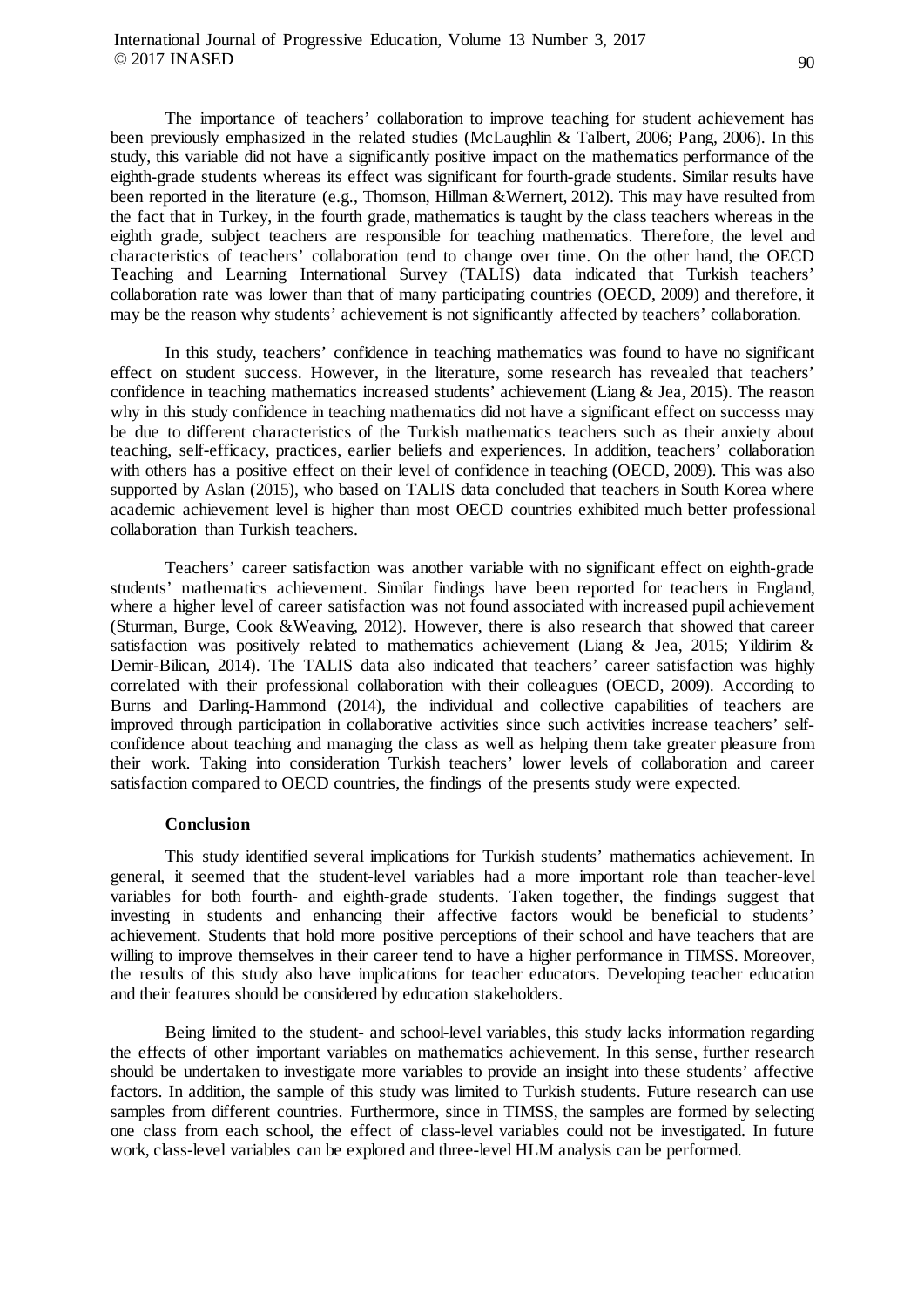The importance of teachers' collaboration to improve teaching for student achievement has been previously emphasized in the related studies (McLaughlin & Talbert, 2006; Pang, 2006). In this study, this variable did not have a significantly positive impact on the mathematics performance of the eighth-grade students whereas its effect was significant for fourth-grade students. Similar results have been reported in the literature (e.g., Thomson, Hillman &Wernert, 2012). This may have resulted from the fact that in Turkey, in the fourth grade, mathematics is taught by the class teachers whereas in the eighth grade, subject teachers are responsible for teaching mathematics. Therefore, the level and characteristics of teachers' collaboration tend to change over time. On the other hand, the OECD Teaching and Learning International Survey (TALIS) data indicated that Turkish teachers' collaboration rate was lower than that of many participating countries (OECD, 2009) and therefore, it may be the reason why students' achievement is not significantly affected by teachers' collaboration.

In this study, teachers' confidence in teaching mathematics was found to have no significant effect on student success. However, in the literature, some research has revealed that teachers' confidence in teaching mathematics increased students' achievement (Liang & Jea, 2015). The reason why in this study confidence in teaching mathematics did not have a significant effect on successs may be due to different characteristics of the Turkish mathematics teachers such as their anxiety about teaching, self-efficacy, practices, earlier beliefs and experiences. In addition, teachers' collaboration with others has a positive effect on their level of confidence in teaching (OECD, 2009). This was also supported by Aslan (2015), who based on TALIS data concluded that teachers in South Korea where academic achievement level is higher than most OECD countries exhibited much better professional collaboration than Turkish teachers.

Teachers' career satisfaction was another variable with no significant effect on eighth-grade students' mathematics achievement. Similar findings have been reported for teachers in England, where a higher level of career satisfaction was not found associated with increased pupil achievement (Sturman, Burge, Cook &Weaving, 2012). However, there is also research that showed that career satisfaction was positively related to mathematics achievement (Liang & Jea, 2015; Yildirim & Demir-Bilican, 2014). The TALIS data also indicated that teachers' career satisfaction was highly correlated with their professional collaboration with their colleagues (OECD, 2009). According to Burns and Darling-Hammond (2014), the individual and collective capabilities of teachers are improved through participation in collaborative activities since such activities increase teachers' selfconfidence about teaching and managing the class as well as helping them take greater pleasure from their work. Taking into consideration Turkish teachers' lower levels of collaboration and career satisfaction compared to OECD countries, the findings of the presents study were expected.

# **Conclusion**

This study identified several implications for Turkish students' mathematics achievement. In general, it seemed that the student-level variables had a more important role than teacher-level variables for both fourth- and eighth-grade students. Taken together, the findings suggest that investing in students and enhancing their affective factors would be beneficial to students' achievement. Students that hold more positive perceptions of their school and have teachers that are willing to improve themselves in their career tend to have a higher performance in TIMSS. Moreover, the results of this study also have implications for teacher educators. Developing teacher education and their features should be considered by education stakeholders.

Being limited to the student- and school-level variables, this study lacks information regarding the effects of other important variables on mathematics achievement. In this sense, further research should be undertaken to investigate more variables to provide an insight into these students' affective factors. In addition, the sample of this study was limited to Turkish students. Future research can use samples from different countries. Furthermore, since in TIMSS, the samples are formed by selecting one class from each school, the effect of class-level variables could not be investigated. In future work, class-level variables can be explored and three-level HLM analysis can be performed.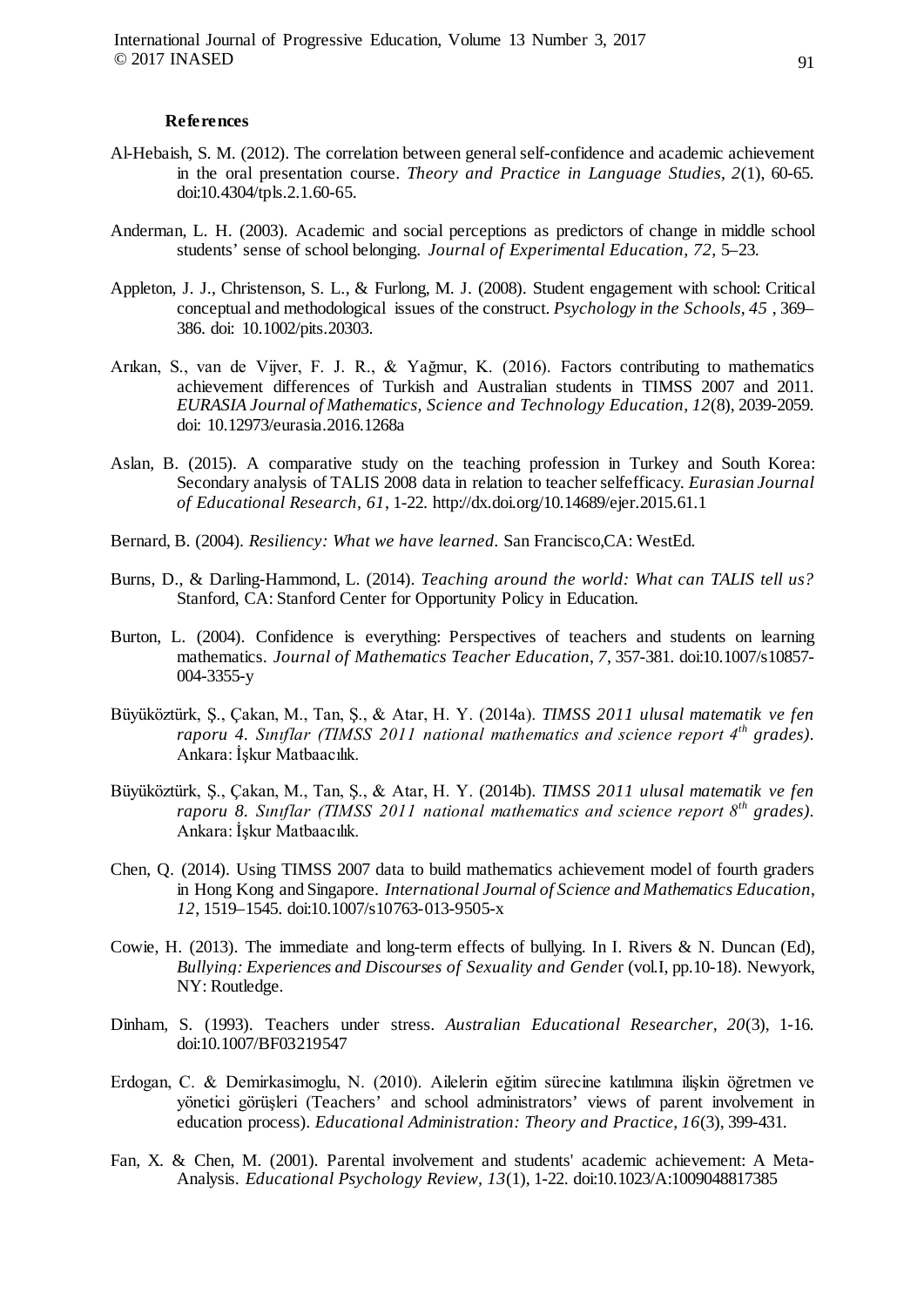#### **References**

- Al-Hebaish, S. M. (2012). The correlation between general self-confidence and academic achievement in the oral presentation course. *Theory and Practice in Language Studies*, *2*(1), 60-65. doi:10.4304/tpls.2.1.60-65.
- Anderman, L. H. (2003). Academic and social perceptions as predictors of change in middle school students' sense of school belonging. *Journal of Experimental Education, 72,* 5–23.
- Appleton, J. J., Christenson, S. L., & Furlong, M. J. (2008). Student engagement with school: Critical conceptual and methodological issues of the construct. *Psychology in the Schools*, *45* , 369– 386. doi: 10.1002/pits.20303.
- Arıkan, S., van de Vijver, F. J. R., & Yağmur, K. (2016). Factors contributing to mathematics achievement differences of Turkish and Australian students in TIMSS 2007 and 2011. *EURASIA Journal of Mathematics, Science and Technology Education*, *12*(8), 2039-2059. doi: 10.12973/eurasia.2016.1268a
- Aslan, B. (2015). A comparative study on the teaching profession in Turkey and South Korea: Secondary analysis of TALIS 2008 data in relation to teacher selfefficacy*. Eurasian Journal of Educational Research, 61*, 1-22. http://dx.doi.org/10.14689/ejer.2015.61.1
- Bernard, B. (2004). *Resiliency: What we have learned.* San Francisco,CA: WestEd.
- Burns, D., & Darling-Hammond, L. (2014). *Teaching around the world: What can TALIS tell us?*  Stanford, CA: Stanford Center for Opportunity Policy in Education.
- Burton, L. (2004). Confidence is everything: Perspectives of teachers and students on learning mathematics. *Journal of Mathematics Teacher Education*, *7*, 357-381. doi:10.1007/s10857- 004-3355-y
- Büyüköztürk, Ş., Çakan, M., Tan, Ş., & Atar, H. Y. (2014a). *TIMSS 2011 ulusal matematik ve fen raporu 4. Sınıflar (TIMSS 2011 national mathematics and science report 4th grades)*. Ankara: İşkur Matbaacılık.
- Büyüköztürk, Ş., Çakan, M., Tan, Ş., & Atar, H. Y. (2014b). *TIMSS 2011 ulusal matematik ve fen raporu 8. Sınıflar (TIMSS 2011 national mathematics and science report 8th grades)*. Ankara: İşkur Matbaacılık.
- Chen, Q. (2014). Using TIMSS 2007 data to build mathematics achievement model of fourth graders in Hong Kong and Singapore. *International Journal of Science and Mathematics Education*, *12*, 1519–1545. doi:10.1007/s10763-013-9505-x
- Cowie, H. (2013). The immediate and long-term effects of bullying. In I. Rivers & N. Duncan (Ed), *Bullying: Experiences and Discourses of Sexuality and Gende*r (vol.I, pp.10-18). Newyork, NY: Routledge.
- Dinham, S. (1993). Teachers under stress. *Australian Educational Researcher*, *20*(3), 1-16. doi:10.1007/BF03219547
- Erdogan, C. & Demirkasimoglu, N. (2010). Ailelerin eğitim sürecine katılımına ilişkin öğretmen ve yönetici görüşleri (Teachers' and school administrators' views of parent involvement in education process). *Educational Administration: Theory and Practice*, *16*(3), 399-431.
- Fan, X. & Chen, M. (2001). Parental involvement and students' academic achievement: A Meta-Analysis. *Educational Psychology Review, 13*(1), 1-22. doi:10.1023/A:1009048817385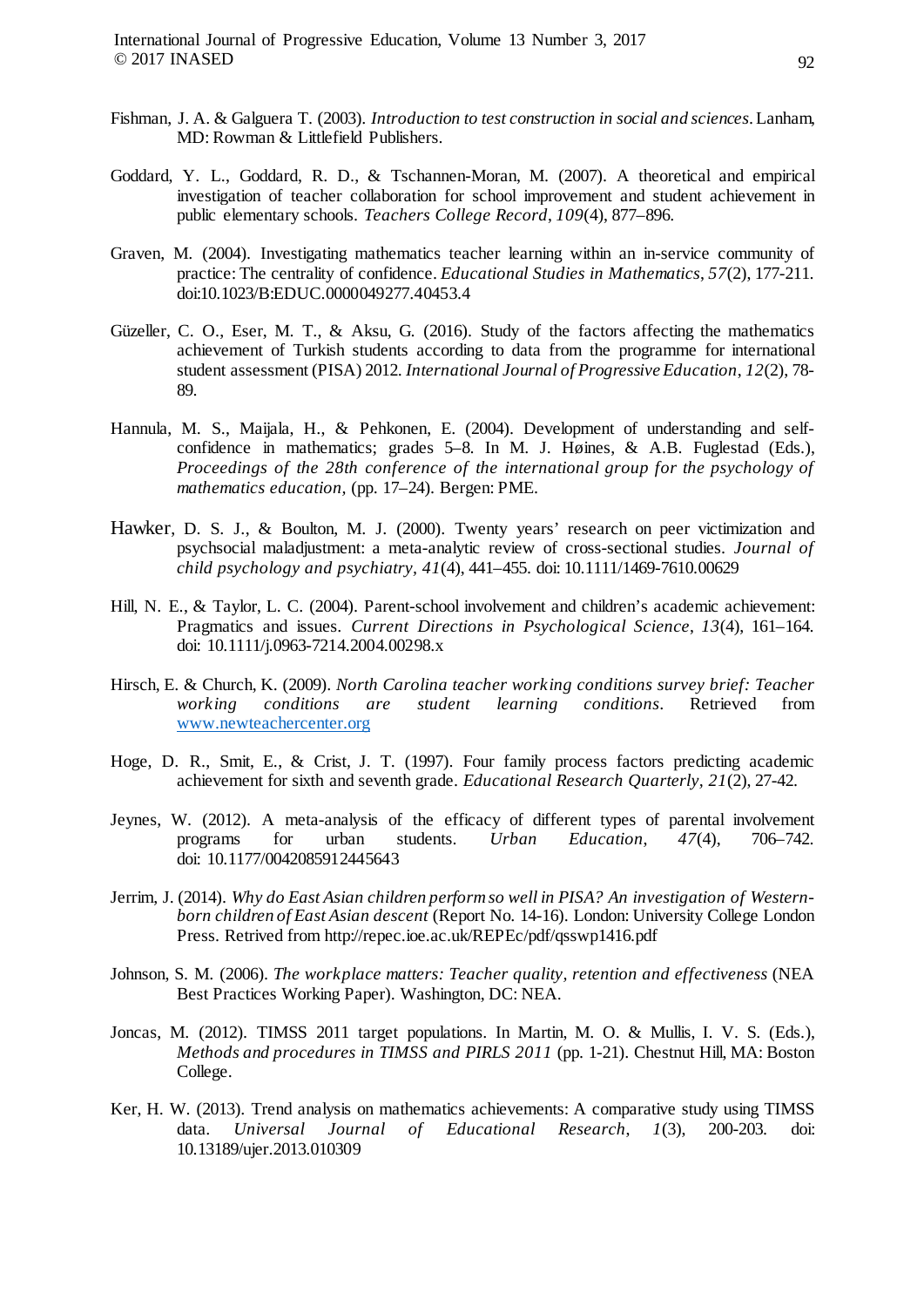International Journal of Progressive Education, Volume 13 Number 3, 2017 © 2017 INASED

- Fishman, J. A. & Galguera T. (2003). *Introduction to test construction in social and sciences*.Lanham, MD: Rowman & Littlefield Publishers.
- Goddard, Y. L., Goddard, R. D., & Tschannen-Moran, M. (2007). A theoretical and empirical investigation of teacher collaboration for school improvement and student achievement in public elementary schools. *Teachers College Record*, *109*(4), 877–896.
- Graven, M. (2004). Investigating mathematics teacher learning within an in-service community of practice: The centrality of confidence. *Educational Studies in Mathematics*, *57*(2), 177-211. doi:10.1023/B:EDUC.0000049277.40453.4
- Güzeller, C. O., Eser, M. T., & Aksu, G. (2016). Study of the factors affecting the mathematics achievement of Turkish students according to data from the programme for international student assessment (PISA) 2012. *International Journal of Progressive Education*, *12*(2), 78- 89.
- Hannula, M. S., Maijala, H., & Pehkonen, E. (2004). Development of understanding and selfconfidence in mathematics; grades 5–8. In M. J. Høines, & A.B. Fuglestad (Eds.), *Proceedings of the 28th conference of the international group for the psychology of mathematics education,* (pp. 17–24). Bergen: PME.
- Hawker, D. S. J., & Boulton, M. J. (2000). Twenty years' research on peer victimization and psychsocial maladjustment: a meta-analytic review of cross-sectional studies. *Journal of child psychology and psychiatry, 41*(4), 441–455. doi: 10.1111/1469-7610.00629
- Hill, N. E., & Taylor, L. C. (2004). Parent-school involvement and children's academic achievement: Pragmatics and issues. *Current Directions in Psychological Science*, *13*(4), 161–164. doi: 10.1111/j.0963-7214.2004.00298.x
- Hirsch, E. & Church, K. (2009). *North Carolina teacher working conditions survey brief: Teacher working conditions are student learning conditions*. Retrieved from [www.newteachercenter.org](http://www.newteachercenter.org/)
- Hoge, D. R., Smit, E., & Crist, J. T. (1997). Four family process factors predicting academic achievement for sixth and seventh grade. *Educational Research Quarterly, 21*(2), 27-42.
- Jeynes, W. (2012). A meta-analysis of the efficacy of different types of parental involvement programs for urban students. *Urban Education*, *47*(4), 706–742. doi: 10.1177/0042085912445643
- Jerrim, J. (2014). *Why do East Asian children perform so well in PISA? An investigation of Westernborn children of East Asian descent* (Report No. 14-16). London: University College London Press. Retrived from http://repec.ioe.ac.uk/REPEc/pdf/qsswp1416.pdf
- Johnson, S. M. (2006). *The workplace matters: Teacher quality, retention and effectiveness* (NEA Best Practices Working Paper). Washington, DC: NEA.
- Joncas, M. (2012). TIMSS 2011 target populations. In Martin, M. O. & Mullis, I. V. S. (Eds.), *Methods and procedures in TIMSS and PIRLS 2011* (pp. 1-21). Chestnut Hill, MA: Boston College.
- Ker, H. W. (2013). Trend analysis on mathematics achievements: A comparative study using TIMSS data. *Universal Journal of Educational Research*, *1*(3), 200-203. doi: 10.13189/ujer.2013.010309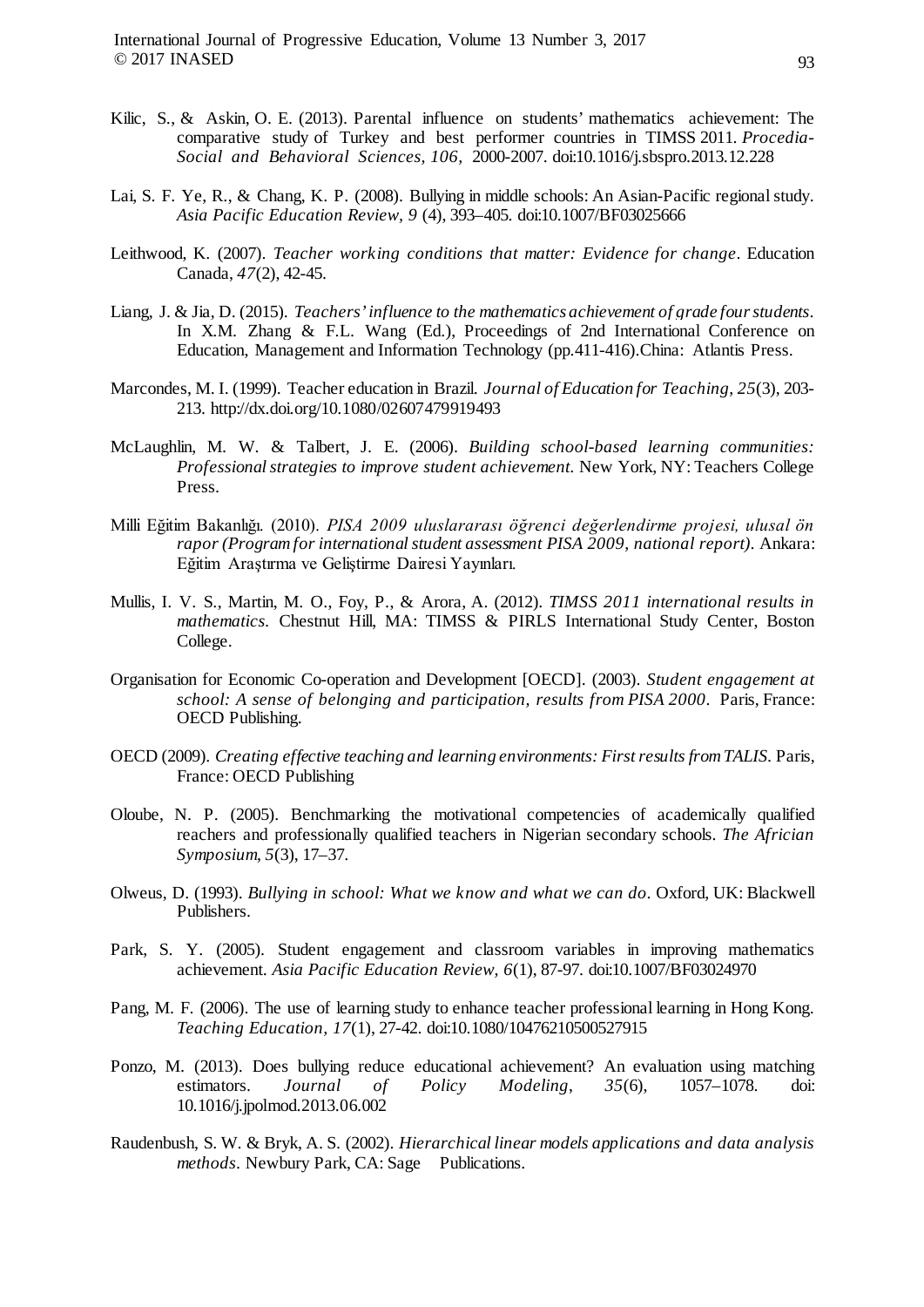- Kilic, S., & Askin, O. E. (2013). Parental influence on students' mathematics achievement: The comparative study of Turkey and best performer countries in TIMSS 2011. *Procedia-Social and Behavioral Sciences, 106,* 2000-2007. doi:10.1016/j.sbspro.2013.12.228
- Lai, S. F. Ye, R., & Chang, K. P. (2008). Bullying in middle schools: An Asian-Pacific regional study. *Asia Pacific Education Review, 9* (4), 393–405. doi:10.1007/BF03025666
- Leithwood, K. (2007). *Teacher working conditions that matter: Evidence for change*. Education Canada, *47*(2), 42-45.
- Liang, J. & Jia, D. (2015). *Teachers' influence to the mathematics achievement of grade four students*. In X.M. Zhang & F.L. Wang (Ed.), Proceedings of 2nd International Conference on Education, Management and Information Technology (pp.411-416).China: Atlantis Press.
- Marcondes, M. I. (1999). Teacher education in Brazil. *Journal of Education for Teaching*, *25*(3), 203- 213.<http://dx.doi.org/10.1080/02607479919493>
- McLaughlin, M. W. & Talbert, J. E. (2006). *Building school-based learning communities: Professional strategies to improve student achievement*. New York, NY: Teachers College Press.
- Milli Eğitim Bakanlığı. (2010). *PISA 2009 uluslararası öğrenci değerlendirme projesi, ulusal ön rapor (Program for international student assessment PISA 2009, national report)*. Ankara: Eğitim Araştırma ve Geliştirme Dairesi Yayınları.
- Mullis, I. V. S., Martin, M. O., Foy, P., & Arora, A. (2012). *TIMSS 2011 international results in mathematics.* Chestnut Hill, MA: TIMSS & PIRLS International Study Center, Boston College.
- Organisation for Economic Co-operation and Development [OECD]. (2003). *Student engagement at school: A sense of belonging and participation, results from PISA 2000*. Paris, France: OECD Publishing.
- OECD (2009). *Creating effective teaching and learning environments: First results from TALIS.* Paris, France: OECD Publishing
- Oloube, N. P. (2005). Benchmarking the motivational competencies of academically qualified reachers and professionally qualified teachers in Nigerian secondary schools. *The Africian Symposium*, *5*(3), 17–37.
- Olweus, D. (1993). *Bullying in school: What we know and what we can do*. Oxford, UK: Blackwell Publishers.
- Park, S. Y. (2005). Student engagement and classroom variables in improving mathematics achievement. *Asia Pacific Education Review, 6*(1), 87-97. doi:10.1007/BF03024970
- Pang, M. F. (2006). The use of learning study to enhance teacher professional learning in Hong Kong. *Teaching Education, 17*(1), 27-42. doi:10.1080/10476210500527915
- Ponzo, M. (2013). Does bullying reduce educational achievement? An evaluation using matching estimators. *Journal of Policy Modeling*, *35*(6), 1057–1078. doi: 10.1016/j.jpolmod.2013.06.002
- Raudenbush, S. W. & Bryk, A. S. (2002). *Hierarchical linear models applications and data analysis methods*. Newbury Park, CA: Sage Publications.